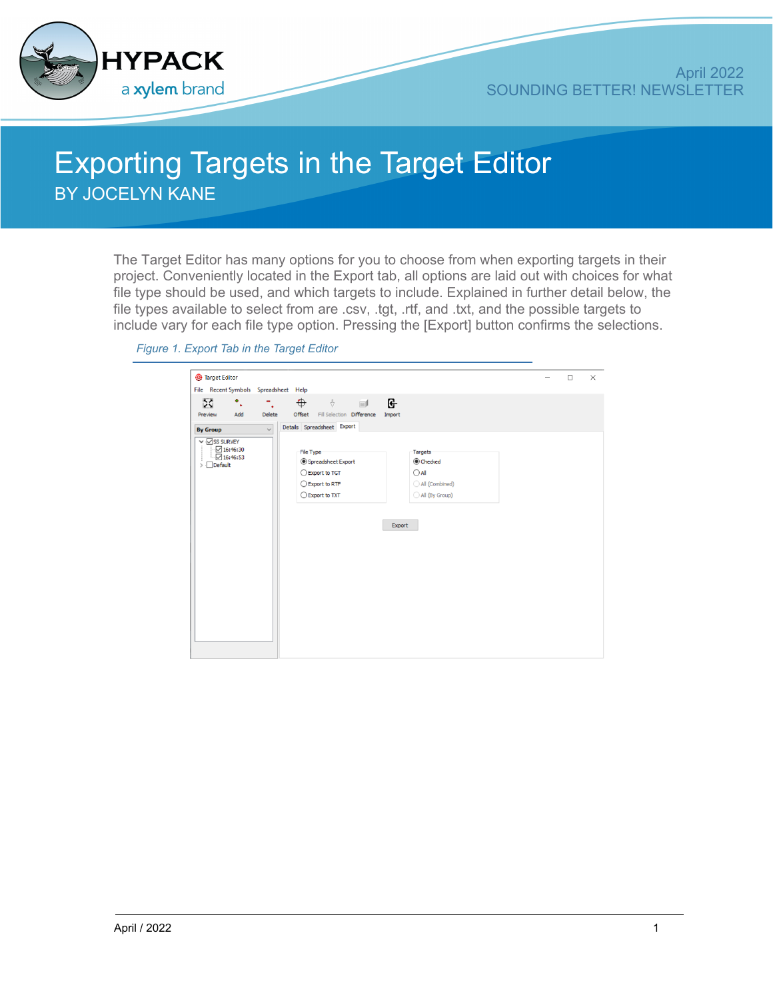

## Exporting Targets in the Target Editor BY JOCELYN KANE

The Target Editor has many options for you to choose from when exporting targets in their project. Conveniently located in the Export tab, all options are laid out with choices for what file type should be used, and which targets to include. Explained in further detail below, the file types available to select from are .csv, .tgt, .rtf, and .txt, and the possible targets to include vary for each file type option. Pressing the [Export] button confirms the selections.

| Target Editor                          |               |                                     |                |  | $\Box$ |  |
|----------------------------------------|---------------|-------------------------------------|----------------|--|--------|--|
| File Recent Symbols Spreadsheet Help   |               |                                     |                |  |        |  |
| X<br>$\ddot{\bullet}$ .                |               | $\oplus$<br>$\sqrt[3]{\phantom{a}}$ | G              |  |        |  |
| Add<br>Preview                         | <b>Delete</b> | Offset Fill Selection Difference    | Import         |  |        |  |
|                                        |               |                                     |                |  |        |  |
| <b>By Group</b>                        | $\checkmark$  | Details Spreadsheet Export          |                |  |        |  |
| $\vee$ $\overline{\vee}$ SS SURVEY     |               |                                     |                |  |        |  |
| $\sqrt{16:46:30}$<br>$\sqrt{16:46:53}$ |               | File Type                           | Targets        |  |        |  |
| $\sum$ Default                         |               | Spreadsheet Export                  | Checked        |  |        |  |
|                                        |               | ○ Export to TGT                     | $\bigcirc$ All |  |        |  |
|                                        |               | ◯ Export to RTF                     | All (Combined) |  |        |  |
|                                        |               | ○ Export to TXT                     | All (By Group) |  |        |  |
|                                        |               |                                     |                |  |        |  |
|                                        |               |                                     |                |  |        |  |
|                                        |               |                                     | Export         |  |        |  |
|                                        |               |                                     |                |  |        |  |
|                                        |               |                                     |                |  |        |  |
|                                        |               |                                     |                |  |        |  |
|                                        |               |                                     |                |  |        |  |
|                                        |               |                                     |                |  |        |  |
|                                        |               |                                     |                |  |        |  |
|                                        |               |                                     |                |  |        |  |
|                                        |               |                                     |                |  |        |  |
|                                        |               |                                     |                |  |        |  |
|                                        |               |                                     |                |  |        |  |
|                                        |               |                                     |                |  |        |  |
|                                        |               |                                     |                |  |        |  |
|                                        |               |                                     |                |  |        |  |
|                                        |               |                                     |                |  |        |  |

## *Figure 1. Export Tab in the Target Editor*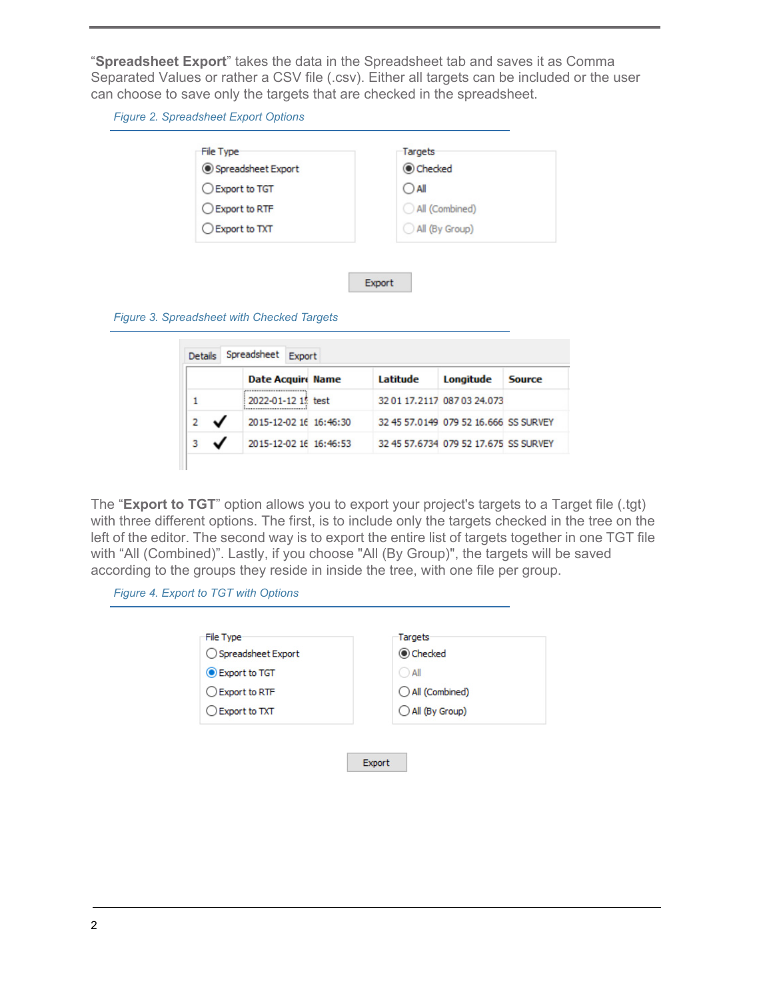"**Spreadsheet Export**" takes the data in the Spreadsheet tab and saves it as Comma Separated Values or rather a CSV file (.csv). Either all targets can be included or the user can choose to save only the targets that are checked in the spreadsheet.

*Figure 2. Spreadsheet Export Options*

| Checked        |
|----------------|
|                |
| $\bigcirc$ all |
| All (Combined) |
| All (By Group) |
|                |
|                |
| Export         |
|                |
|                |

|   | Date Acquire Name                                               | Latitude | Longitude                             | <b>Source</b> |
|---|-----------------------------------------------------------------|----------|---------------------------------------|---------------|
|   | <br>2022-01-12 15 test<br>************************************* |          | 32 01 17.2117 087 03 24.073           |               |
| 2 | 2015-12-02 16 16:46:30                                          |          | 32 45 57.0149 079 52 16.666 SS SURVEY |               |
|   | 2015-12-02 16 16:46:53                                          |          | 32 45 57,6734 079 52 17,675 SS SURVEY |               |

The "**Export to TGT**" option allows you to export your project's targets to a Target file (.tgt) with three different options. The first, is to include only the targets checked in the tree on the left of the editor. The second way is to export the entire list of targets together in one TGT file with "All (Combined)". Lastly, if you choose "All (By Group)", the targets will be saved according to the groups they reside in inside the tree, with one file per group.

*Figure 4. Export to TGT with Options*

| ○ Spreadsheet Export |                |
|----------------------|----------------|
|                      | Checked        |
| Export to TGT        | $\bigcirc$ All |
| Export to RTF        | All (Combined) |
| ◯ Export to TXT      | All (By Group) |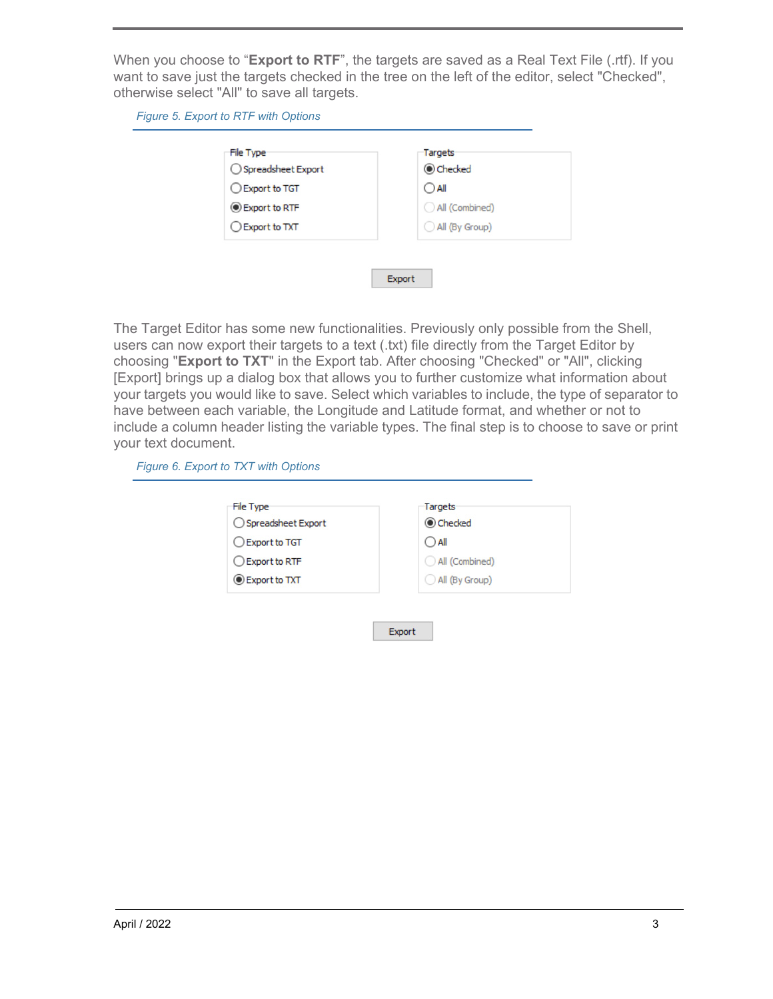When you choose to "**Export to RTF**", the targets are saved as a Real Text File (.rtf). If you want to save just the targets checked in the tree on the left of the editor, select "Checked", otherwise select "All" to save all targets.

*Figure 5. Export to RTF with Options*

| File Type<br>◯ Spreadsheet Export | Targets<br>Checked |
|-----------------------------------|--------------------|
| Export to TGT                     | $\bigcirc$ all     |
| Export to RTF                     | All (Combined)     |
| ◯ Export to TXT                   | All (By Group)     |

The Target Editor has some new functionalities. Previously only possible from the Shell, users can now export their targets to a text (.txt) file directly from the Target Editor by choosing "**Export to TXT**" in the Export tab. After choosing "Checked" or "All", clicking [Export] brings up a dialog box that allows you to further customize what information about your targets you would like to save. Select which variables to include, the type of separator to have between each variable, the Longitude and Latitude format, and whether or not to include a column header listing the variable types. The final step is to choose to save or print your text document.

*Figure 6. Export to TXT with Options*

| ◯ Spreadsheet Export | Checked        |
|----------------------|----------------|
| ◯ Export to TGT      | $\bigcap$ All  |
| Export to RTF        | All (Combined) |
| Export to TXT        | All (By Group) |